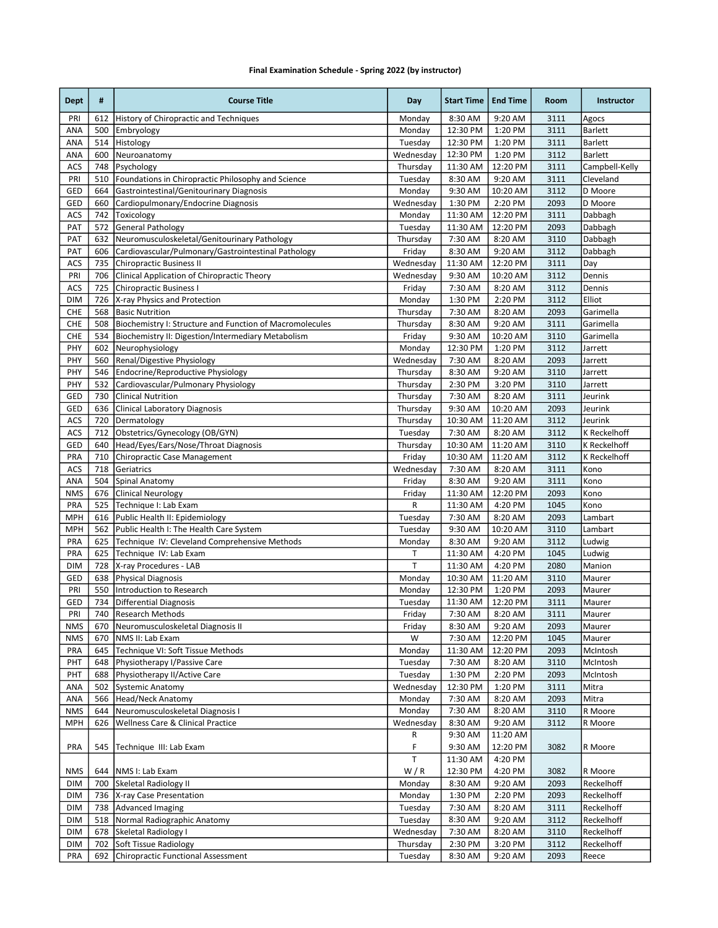## Final Examination Schedule - Spring 2022 (by instructor)

| <b>Dept</b> | #          | <b>Course Title</b>                                                     | Day                 | <b>Start Time</b>    | <b>End Time</b>      | Room         | Instructor         |
|-------------|------------|-------------------------------------------------------------------------|---------------------|----------------------|----------------------|--------------|--------------------|
| PRI         | 612        | History of Chiropractic and Techniques                                  | Monday              | 8:30 AM              | 9:20 AM              | 3111         | Agocs              |
| ANA         | 500        | Embryology                                                              | Monday              | 12:30 PM             | 1:20 PM              | 3111         | <b>Barlett</b>     |
| ANA         | 514        | Histology                                                               | Tuesday             | 12:30 PM             | 1:20 PM              | 3111         | Barlett            |
| ANA         | 600        | Neuroanatomy                                                            | Wednesday           | 12:30 PM             | 1:20 PM              | 3112         | <b>Barlett</b>     |
| ACS         | 748        | Psychology                                                              | Thursday            | 11:30 AM             | 12:20 PM             | 3111         | Campbell-Kelly     |
| PRI         | 510        | Foundations in Chiropractic Philosophy and Science                      | Tuesday             | 8:30 AM              | 9:20 AM              | 3111         | Cleveland          |
| GED         | 664        | Gastrointestinal/Genitourinary Diagnosis                                | Monday              | 9:30 AM              | 10:20 AM             | 3112         | D Moore            |
| GED         | 660<br>742 | Cardiopulmonary/Endocrine Diagnosis<br>Toxicology                       | Wednesday<br>Monday | 1:30 PM              | 2:20 PM              | 2093         | D Moore            |
| ACS<br>PAT  | 572        | <b>General Pathology</b>                                                |                     | 11:30 AM<br>11:30 AM | 12:20 PM<br>12:20 PM | 3111<br>2093 | Dabbagh<br>Dabbagh |
| PAT         | 632        | Neuromusculoskeletal/Genitourinary Pathology                            | Tuesday<br>Thursday | 7:30 AM              | 8:20 AM              | 3110         | Dabbagh            |
| PAT         | 606        | Cardiovascular/Pulmonary/Gastrointestinal Pathology                     | Friday              | 8:30 AM              | 9:20 AM              | 3112         | Dabbagh            |
| ACS         | 735        | Chiropractic Business II                                                | Wednesday           | 11:30 AM             | 12:20 PM             | 3111         | Day                |
| PRI         | 706        | Clinical Application of Chiropractic Theory                             | Wednesday           | 9:30 AM              | 10:20 AM             | 3112         | Dennis             |
| ACS         | 725        | <b>Chiropractic Business I</b>                                          | Friday              | 7:30 AM              | 8:20 AM              | 3112         | Dennis             |
| <b>DIM</b>  | 726        | X-ray Physics and Protection                                            | Monday              | 1:30 PM              | 2:20 PM              | 3112         | Elliot             |
| CHE         | 568        | <b>Basic Nutrition</b>                                                  | Thursday            | 7:30 AM              | 8:20 AM              | 2093         | Garimella          |
| CHE         | 508        | Biochemistry I: Structure and Function of Macromolecules                | Thursday            | 8:30 AM              | 9:20 AM              | 3111         | Garimella          |
| CHE         | 534        | Biochemistry II: Digestion/Intermediary Metabolism                      | Friday              | 9:30 AM              | 10:20 AM             | 3110         | Garimella          |
| PHY         | 602        | Neurophysiology                                                         | Monday              | 12:30 PM             | 1:20 PM              | 3112         | Jarrett            |
| PHY         | 560        | Renal/Digestive Physiology                                              | Wednesday           | 7:30 AM              | 8:20 AM              | 2093         | Jarrett            |
| PHY         | 546        | Endocrine/Reproductive Physiology                                       | Thursday            | 8:30 AM              | 9:20 AM              | 3110         | Jarrett            |
| PHY         | 532        | Cardiovascular/Pulmonary Physiology                                     | Thursday            | 2:30 PM              | 3:20 PM              | 3110         | Jarrett            |
| GED         | 730        | <b>Clinical Nutrition</b>                                               | Thursday            | 7:30 AM              | 8:20 AM              | 3111         | Jeurink            |
| GED         | 636        | Clinical Laboratory Diagnosis                                           | Thursday            | 9:30 AM              | 10:20 AM             | 2093         | Jeurink            |
| ACS         | 720        | Dermatology                                                             | Thursday            | 10:30 AM             | 11:20 AM             | 3112         | Jeurink            |
| ACS         | 712        | Obstetrics/Gynecology (OB/GYN)                                          | Tuesday             | 7:30 AM              | 8:20 AM              | 3112         | K Reckelhoff       |
| GED         | 640        | Head/Eyes/Ears/Nose/Throat Diagnosis                                    | Thursday            | 10:30 AM             | 11:20 AM             | 3110         | K Reckelhoff       |
| PRA         | 710        | Chiropractic Case Management                                            | Friday              | 10:30 AM             | 11:20 AM             | 3112         | K Reckelhoff       |
| ACS         | 718        | Geriatrics                                                              | Wednesday           | 7:30 AM              | 8:20 AM              | 3111         | Kono               |
| ANA         | 504        | Spinal Anatomy                                                          | Friday              | 8:30 AM              | 9:20 AM              | 3111         | Kono               |
| <b>NMS</b>  | 676        | Clinical Neurology                                                      | Friday              | 11:30 AM             | 12:20 PM             | 2093         | Kono               |
| PRA         | 525        | Technique I: Lab Exam                                                   | R                   | 11:30 AM             | $4:20$ PM            | 1045         | Kono               |
| <b>MPH</b>  | 616        | Public Health II: Epidemiology                                          | Tuesday             | 7:30 AM              | 8:20 AM              | 2093         | Lambart            |
| <b>MPH</b>  | 562        | Public Health I: The Health Care System                                 | Tuesday             | 9:30 AM              | 10:20 AM             | 3110         | Lambart            |
| PRA<br>PRA  | 625<br>625 | Technique IV: Cleveland Comprehensive Methods<br>Technique IV: Lab Exam | Monday<br>Τ         | 8:30 AM<br>11:30 AM  | 9:20 AM<br>4:20 PM   | 3112<br>1045 | Ludwig<br>Ludwig   |
| <b>DIM</b>  | 728        | X-ray Procedures - LAB                                                  | T                   | 11:30 AM             | 4:20 PM              | 2080         | Manion             |
| GED         | 638        | <b>Physical Diagnosis</b>                                               | Monday              | 10:30 AM             | 11:20 AM             | 3110         | Maurer             |
| PRI         | 550        | Introduction to Research                                                | Monday              | 12:30 PM             | 1:20 PM              | 2093         | Maurer             |
| GED         | 734        | <b>Differential Diagnosis</b>                                           | Tuesday             | 11:30 AM             | 12:20 PM             | 3111         | Maurer             |
| PRI         | 740        | Research Methods                                                        | Friday              | 7:30 AM              | 8:20 AM              | 3111         | Maurer             |
| <b>NMS</b>  | 670        | Neuromusculoskeletal Diagnosis II                                       | Friday              | 8:30 AM              | 9:20 AM              | 2093         | Maurer             |
| <b>NMS</b>  | 670        | NMS II: Lab Exam                                                        | W                   | 7:30 AM              | 12:20 PM             | 1045         | Maurer             |
| <b>PRA</b>  | 645        | Technique VI: Soft Tissue Methods                                       | Monday              | 11:30 AM             | 12:20 PM             | 2093         | McIntosh           |
| PHT         | 648        | Physiotherapy I/Passive Care                                            | Tuesday             | 7:30 AM              | 8:20 AM              | 3110         | McIntosh           |
| PHT         | 688        | Physiotherapy II/Active Care                                            | Tuesday             | 1:30 PM              | 2:20 PM              | 2093         | McIntosh           |
| ANA         | 502        | <b>Systemic Anatomy</b>                                                 | Wednesday           | 12:30 PM             | 1:20 PM              | 3111         | Mitra              |
| ANA         | 566        | <b>Head/Neck Anatomy</b>                                                | Monday              | 7:30 AM              | 8:20 AM              | 2093         | Mitra              |
| <b>NMS</b>  | 644        | Neuromusculoskeletal Diagnosis I                                        | Monday              | 7:30 AM              | 8:20 AM              | 3110         | R Moore            |
| <b>MPH</b>  | 626        | Wellness Care & Clinical Practice                                       | Wednesday           | 8:30 AM              | 9:20 AM              | 3112         | R Moore            |
|             |            |                                                                         | R                   | 9:30 AM              | 11:20 AM             |              |                    |
| <b>PRA</b>  | 545        | Technique III: Lab Exam                                                 | F                   | 9:30 AM              | 12:20 PM             | 3082         | R Moore            |
|             |            |                                                                         | T                   | 11:30 AM             | 4:20 PM              |              |                    |
| NMS         |            | 644   NMS I: Lab Exam                                                   | W/R                 | 12:30 PM             | 4:20 PM              | 3082         | R Moore            |
| DIM         | 700        | Skeletal Radiology II                                                   | Monday              | 8:30 AM              | 9:20 AM              | 2093         | Reckelhoff         |
| <b>DIM</b>  |            | 736   X-ray Case Presentation                                           | Monday              | 1:30 PM              | 2:20 PM              | 2093         | Reckelhoff         |
| <b>DIM</b>  | 738        | Advanced Imaging                                                        | Tuesday             | 7:30 AM              | 8:20 AM              | 3111         | Reckelhoff         |
| <b>DIM</b>  | 518        | Normal Radiographic Anatomy                                             | Tuesday             | 8:30 AM              | 9:20 AM              | 3112         | Reckelhoff         |
| <b>DIM</b>  | 678        | Skeletal Radiology I                                                    | Wednesday           | 7:30 AM              | 8:20 AM              | 3110         | Reckelhoff         |
| DIM         | 702        | Soft Tissue Radiology                                                   | Thursday            | 2:30 PM              | 3:20 PM              | 3112         | Reckelhoff         |
| PRA         | 692        | Chiropractic Functional Assessment                                      | Tuesday             | 8:30 AM              | 9:20 AM              | 2093         | Reece              |